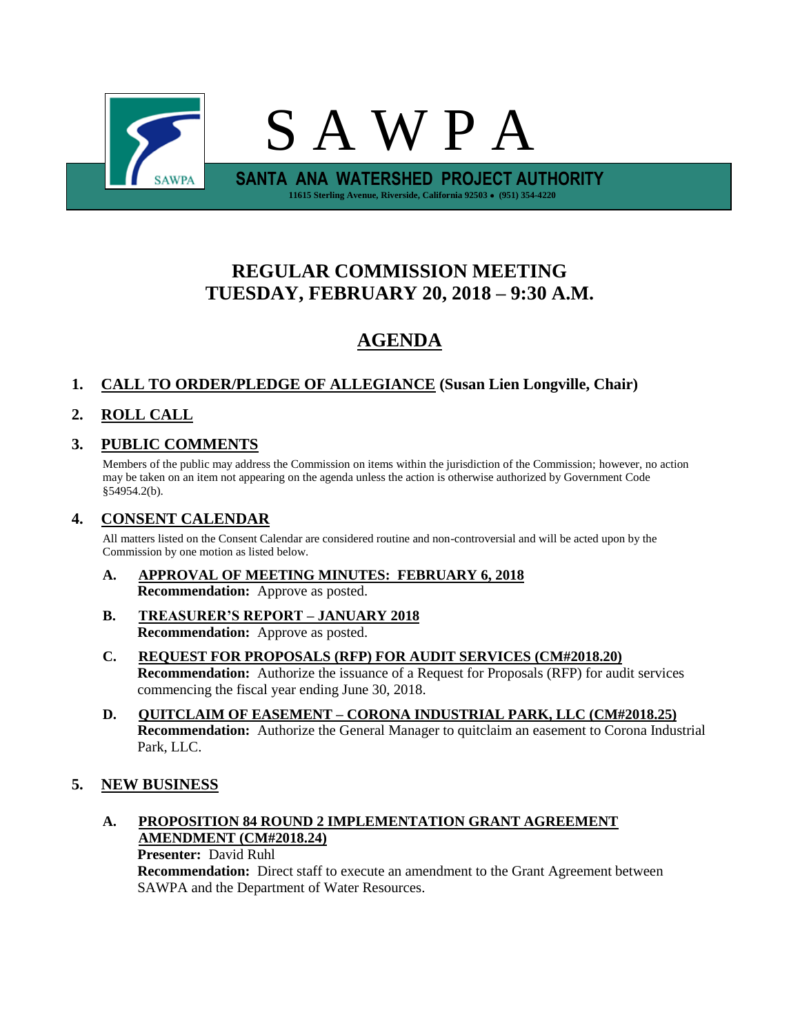

# **REGULAR COMMISSION MEETING TUESDAY, FEBRUARY 20, 2018 – 9:30 A.M.**

# **AGENDA**

# **1. CALL TO ORDER/PLEDGE OF ALLEGIANCE (Susan Lien Longville, Chair)**

# **2. ROLL CALL**

## **3. PUBLIC COMMENTS**

Members of the public may address the Commission on items within the jurisdiction of the Commission; however, no action may be taken on an item not appearing on the agenda unless the action is otherwise authorized by Government Code §54954.2(b).

## **4. CONSENT CALENDAR**

All matters listed on the Consent Calendar are considered routine and non-controversial and will be acted upon by the Commission by one motion as listed below.

- **A. APPROVAL OF MEETING MINUTES: FEBRUARY 6, 2018 Recommendation:** Approve as posted.
- **B. TREASURER'S REPORT – JANUARY 2018 Recommendation:** Approve as posted.
- **C. REQUEST FOR PROPOSALS (RFP) FOR AUDIT SERVICES (CM#2018.20) Recommendation:** Authorize the issuance of a Request for Proposals (RFP) for audit services commencing the fiscal year ending June 30, 2018.
- **D. QUITCLAIM OF EASEMENT – CORONA INDUSTRIAL PARK, LLC (CM#2018.25) Recommendation:** Authorize the General Manager to quitclaim an easement to Corona Industrial Park, LLC.

## **5. NEW BUSINESS**

## **A. PROPOSITION 84 ROUND 2 IMPLEMENTATION GRANT AGREEMENT AMENDMENT (CM#2018.24)**

**Presenter:** David Ruhl

**Recommendation:** Direct staff to execute an amendment to the Grant Agreement between SAWPA and the Department of Water Resources.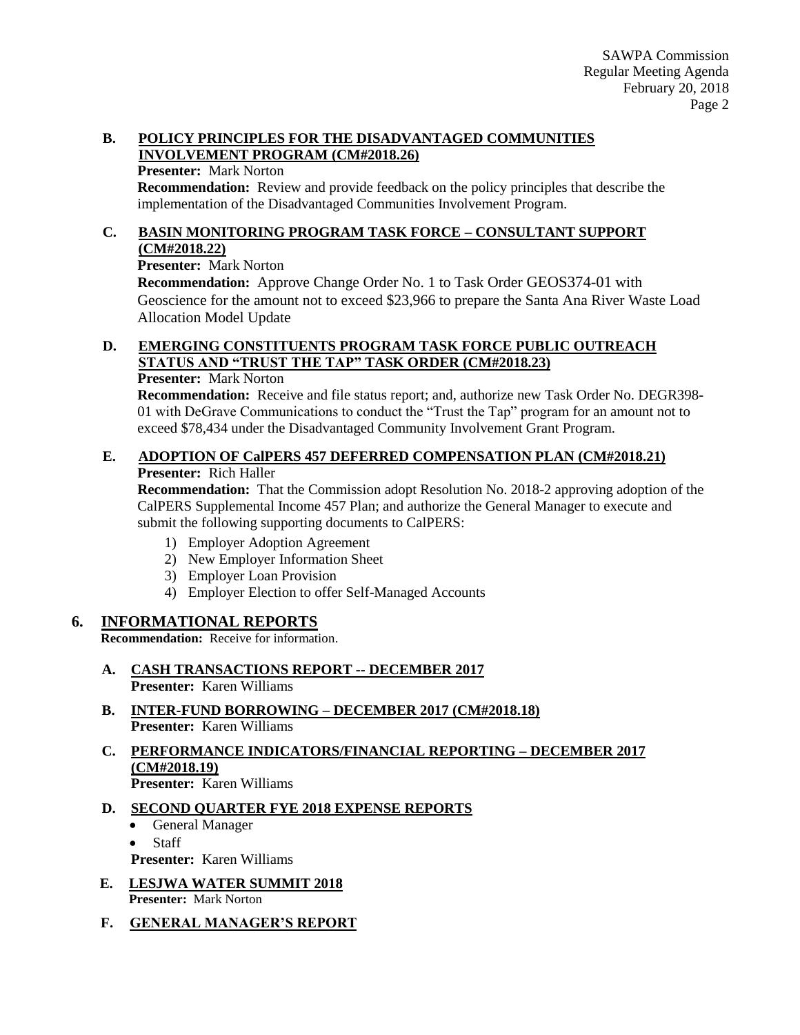#### **B. POLICY PRINCIPLES FOR THE DISADVANTAGED COMMUNITIES INVOLVEMENT PROGRAM (CM#2018.26)**

#### **Presenter:** Mark Norton

**Recommendation:** Review and provide feedback on the policy principles that describe the implementation of the Disadvantaged Communities Involvement Program.

#### **C. BASIN MONITORING PROGRAM TASK FORCE – CONSULTANT SUPPORT (CM#2018.22)**

**Presenter:** Mark Norton

**Recommendation:** Approve Change Order No. 1 to Task Order GEOS374-01 with Geoscience for the amount not to exceed \$23,966 to prepare the Santa Ana River Waste Load Allocation Model Update

# **D. EMERGING CONSTITUENTS PROGRAM TASK FORCE PUBLIC OUTREACH STATUS AND "TRUST THE TAP" TASK ORDER (CM#2018.23)**

#### **Presenter:** Mark Norton

**Recommendation:** Receive and file status report; and, authorize new Task Order No. DEGR398- 01 with DeGrave Communications to conduct the "Trust the Tap" program for an amount not to exceed \$78,434 under the Disadvantaged Community Involvement Grant Program.

### **E. ADOPTION OF CalPERS 457 DEFERRED COMPENSATION PLAN (CM#2018.21) Presenter:** Rich Haller

**Recommendation:** That the Commission adopt Resolution No. 2018-2 approving adoption of the CalPERS Supplemental Income 457 Plan; and authorize the General Manager to execute and submit the following supporting documents to CalPERS:

- 1) Employer Adoption Agreement
- 2) New Employer Information Sheet
- 3) Employer Loan Provision
- 4) Employer Election to offer Self-Managed Accounts

## **6. INFORMATIONAL REPORTS**

**Recommendation:** Receive for information.

- **A. CASH TRANSACTIONS REPORT -- DECEMBER 2017 Presenter:** Karen Williams
- **B. INTER-FUND BORROWING – DECEMBER 2017 (CM#2018.18) Presenter:** Karen Williams
- **C. PERFORMANCE INDICATORS/FINANCIAL REPORTING – DECEMBER 2017 (CM#2018.19) Presenter:** Karen Williams

## **D. SECOND QUARTER FYE 2018 EXPENSE REPORTS**

- General Manager
- Staff
- **Presenter:** Karen Williams
- **E. LESJWA WATER SUMMIT 2018 Presenter:** Mark Norton
- **F. GENERAL MANAGER'S REPORT**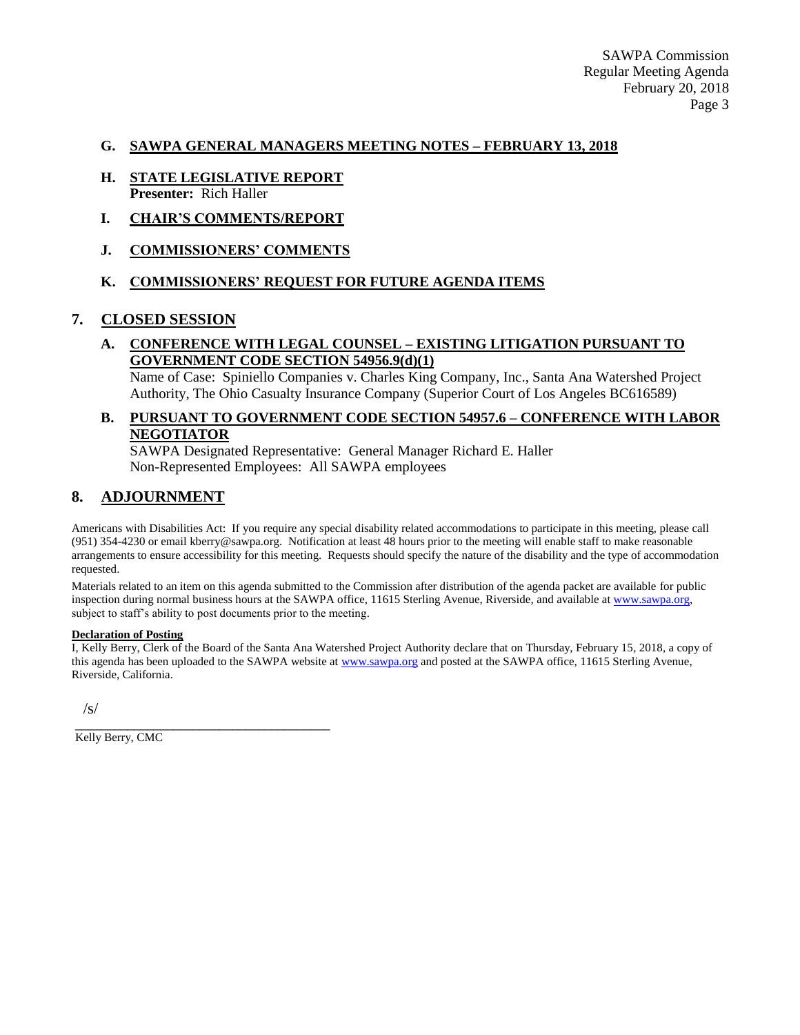SAWPA Commission Regular Meeting Agenda February 20, 2018 Page 3

#### **G. SAWPA GENERAL MANAGERS MEETING NOTES – FEBRUARY 13, 2018**

- **H. STATE LEGISLATIVE REPORT Presenter:** Rich Haller
- **I. CHAIR'S COMMENTS/REPORT**
- **J. COMMISSIONERS' COMMENTS**

#### **K. COMMISSIONERS' REQUEST FOR FUTURE AGENDA ITEMS**

#### **7. CLOSED SESSION**

## **A. CONFERENCE WITH LEGAL COUNSEL – EXISTING LITIGATION PURSUANT TO GOVERNMENT CODE SECTION 54956.9(d)(1)**

Name of Case: Spiniello Companies v. Charles King Company, Inc., Santa Ana Watershed Project Authority, The Ohio Casualty Insurance Company (Superior Court of Los Angeles BC616589)

### **B. PURSUANT TO GOVERNMENT CODE SECTION 54957.6 – CONFERENCE WITH LABOR NEGOTIATOR**

SAWPA Designated Representative: General Manager Richard E. Haller Non-Represented Employees: All SAWPA employees

## **8. ADJOURNMENT**

Americans with Disabilities Act: If you require any special disability related accommodations to participate in this meeting, please call (951) 354-4230 or email kberry@sawpa.org. Notification at least 48 hours prior to the meeting will enable staff to make reasonable arrangements to ensure accessibility for this meeting. Requests should specify the nature of the disability and the type of accommodation requested.

Materials related to an item on this agenda submitted to the Commission after distribution of the agenda packet are available for public inspection during normal business hours at the SAWPA office, 11615 Sterling Avenue, Riverside, and available a[t www.sawpa.org,](http://www.sawpa.org/) subject to staff's ability to post documents prior to the meeting.

#### **Declaration of Posting**

I, Kelly Berry, Clerk of the Board of the Santa Ana Watershed Project Authority declare that on Thursday, February 15, 2018, a copy of this agenda has been uploaded to the SAWPA website at [www.sawpa.org](http://www.sawpa.org/) and posted at the SAWPA office, 11615 Sterling Avenue, Riverside, California.

/s/

\_\_\_\_\_\_\_\_\_\_\_\_\_\_\_\_\_\_\_\_\_\_\_\_\_\_\_\_\_\_\_\_\_\_\_\_\_\_\_ Kelly Berry, CMC